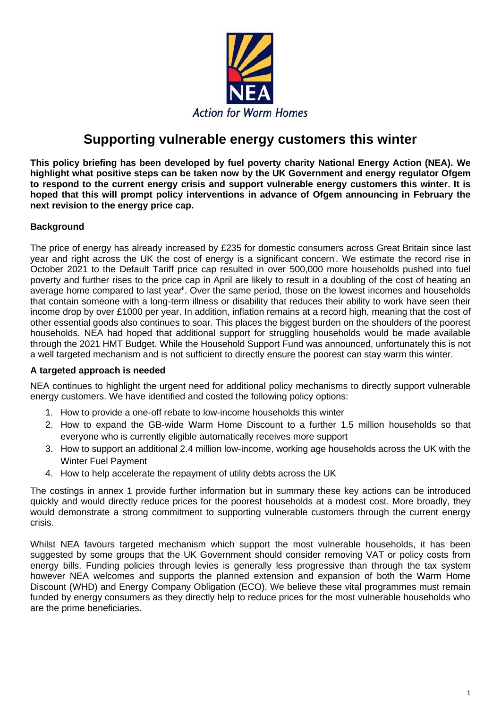

# **Supporting vulnerable energy customers this winter**

**This policy briefing has been developed by fuel poverty charity National Energy Action (NEA). We highlight what positive steps can be taken now by the UK Government and energy regulator Ofgem to respond to the current energy crisis and support vulnerable energy customers this winter. It is hoped that this will prompt policy interventions in advance of Ofgem announcing in February the next revision to the energy price cap.** 

### **Background**

The price of energy has already increased by £235 for domestic consumers across Great Britain since last year and right across the UK the cost of energy is a significant concern<sup>i</sup>. We estimate the record rise in October 2021 to the Default Tariff price cap resulted in over 500,000 more households pushed into fuel poverty and further rises to the price cap in April are likely to result in a doubling of the cost of heating an average home compared to last year<sup>ii</sup>. Over the same period, those on the lowest incomes and households that contain someone with a long-term illness or disability that reduces their ability to work have seen their income drop by over £1000 per year. In addition, inflation remains at a record high, meaning that the cost of other essential goods also continues to soar. This places the biggest burden on the shoulders of the poorest households. NEA had hoped that additional support for struggling households would be made available through the 2021 HMT Budget. While the Household Support Fund was announced, unfortunately this is not a well targeted mechanism and is not sufficient to directly ensure the poorest can stay warm this winter.

### **A targeted approach is needed**

NEA continues to highlight the urgent need for additional policy mechanisms to directly support vulnerable energy customers. We have identified and costed the following policy options:

- 1. How to provide a one-off rebate to low-income households this winter
- 2. How to expand the GB-wide Warm Home Discount to a further 1.5 million households so that everyone who is currently eligible automatically receives more support
- 3. How to support an additional 2.4 million low-income, working age households across the UK with the Winter Fuel Payment
- 4. How to help accelerate the repayment of utility debts across the UK

The costings in annex 1 provide further information but in summary these key actions can be introduced quickly and would directly reduce prices for the poorest households at a modest cost. More broadly, they would demonstrate a strong commitment to supporting vulnerable customers through the current energy crisis.

Whilst NEA favours targeted mechanism which support the most vulnerable households, it has been suggested by some groups that the UK Government should consider removing VAT or policy costs from energy bills. Funding policies through levies is generally less progressive than through the tax system however NEA welcomes and supports the planned extension and expansion of both the Warm Home Discount (WHD) and Energy Company Obligation (ECO). We believe these vital programmes must remain funded by energy consumers as they directly help to reduce prices for the most vulnerable households who are the prime beneficiaries.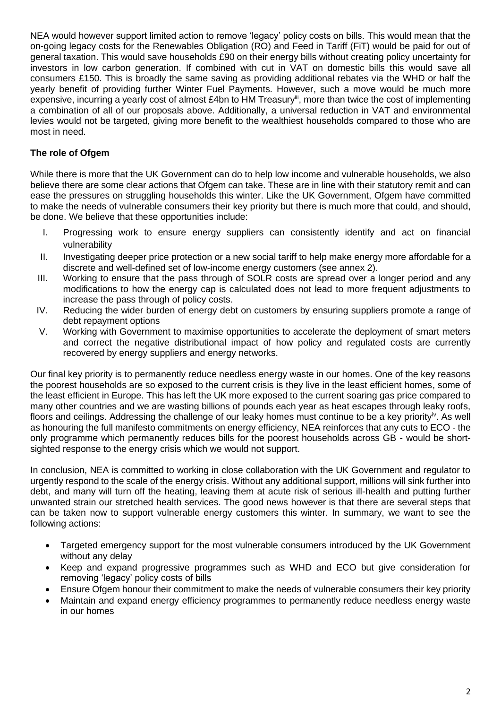NEA would however support limited action to remove 'legacy' policy costs on bills. This would mean that the on-going legacy costs for the Renewables Obligation (RO) and Feed in Tariff (FiT) would be paid for out of general taxation. This would save households £90 on their energy bills without creating policy uncertainty for investors in low carbon generation. If combined with cut in VAT on domestic bills this would save all consumers £150. This is broadly the same saving as providing additional rebates via the WHD or half the yearly benefit of providing further Winter Fuel Payments. However, such a move would be much more expensive, incurring a yearly cost of almost £4bn to HM Treasury<sup>iii</sup>, more than twice the cost of implementing a combination of all of our proposals above. Additionally, a universal reduction in VAT and environmental levies would not be targeted, giving more benefit to the wealthiest households compared to those who are most in need.

## **The role of Ofgem**

While there is more that the UK Government can do to help low income and vulnerable households, we also believe there are some clear actions that Ofgem can take. These are in line with their statutory remit and can ease the pressures on struggling households this winter. Like the UK Government, Ofgem have committed to make the needs of vulnerable consumers their key priority but there is much more that could, and should, be done. We believe that these opportunities include:

- I. Progressing work to ensure energy suppliers can consistently identify and act on financial vulnerability
- II. Investigating deeper price protection or a new social tariff to help make energy more affordable for a discrete and well-defined set of low-income energy customers (see annex 2).
- III. Working to ensure that the pass through of SOLR costs are spread over a longer period and any modifications to how the energy cap is calculated does not lead to more frequent adjustments to increase the pass through of policy costs.
- IV. Reducing the wider burden of energy debt on customers by ensuring suppliers promote a range of debt repayment options
- V. Working with Government to maximise opportunities to accelerate the deployment of smart meters and correct the negative distributional impact of how policy and regulated costs are currently recovered by energy suppliers and energy networks.

Our final key priority is to permanently reduce needless energy waste in our homes. One of the key reasons the poorest households are so exposed to the current crisis is they live in the least efficient homes, some of the least efficient in Europe. This has left the UK more exposed to the current soaring gas price compared to many other countries and we are wasting billions of pounds each year as heat escapes through leaky roofs, floors and ceilings. Addressing the challenge of our leaky homes must continue to be a key priority<sup>iv</sup>. As well as honouring the full manifesto commitments on energy efficiency, NEA reinforces that any cuts to ECO - the only programme which permanently reduces bills for the poorest households across GB - would be shortsighted response to the energy crisis which we would not support.

In conclusion, NEA is committed to working in close collaboration with the UK Government and regulator to urgently respond to the scale of the energy crisis. Without any additional support, millions will sink further into debt, and many will turn off the heating, leaving them at acute risk of serious ill-health and putting further unwanted strain our stretched health services. The good news however is that there are several steps that can be taken now to support vulnerable energy customers this winter. In summary, we want to see the following actions:

- Targeted emergency support for the most vulnerable consumers introduced by the UK Government without any delay
- Keep and expand progressive programmes such as WHD and ECO but give consideration for removing 'legacy' policy costs of bills
- Ensure Ofgem honour their commitment to make the needs of vulnerable consumers their key priority
- Maintain and expand energy efficiency programmes to permanently reduce needless energy waste in our homes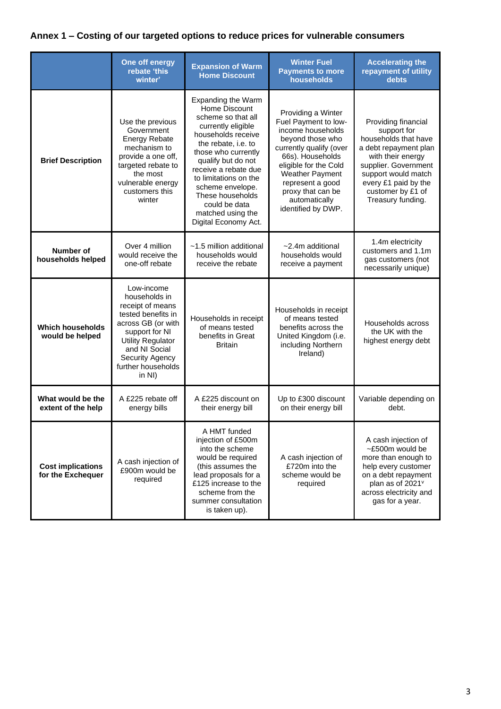## **Annex 1 – Costing of our targeted options to reduce prices for vulnerable consumers**

|                                               | One off energy<br>rebate 'this<br>winter'                                                                                                                                                                               | <b>Expansion of Warm</b><br><b>Home Discount</b>                                                                                                                                                                                                                                                                                        | <b>Winter Fuel</b><br><b>Payments to more</b><br>households                                                                                                                                                                                                           | <b>Accelerating the</b><br>repayment of utility<br>debts                                                                                                                                                                  |
|-----------------------------------------------|-------------------------------------------------------------------------------------------------------------------------------------------------------------------------------------------------------------------------|-----------------------------------------------------------------------------------------------------------------------------------------------------------------------------------------------------------------------------------------------------------------------------------------------------------------------------------------|-----------------------------------------------------------------------------------------------------------------------------------------------------------------------------------------------------------------------------------------------------------------------|---------------------------------------------------------------------------------------------------------------------------------------------------------------------------------------------------------------------------|
| <b>Brief Description</b>                      | Use the previous<br>Government<br><b>Energy Rebate</b><br>mechanism to<br>provide a one off,<br>targeted rebate to<br>the most<br>vulnerable energy<br>customers this<br>winter                                         | <b>Expanding the Warm</b><br>Home Discount<br>scheme so that all<br>currently eligible<br>households receive<br>the rebate, i.e. to<br>those who currently<br>qualify but do not<br>receive a rebate due<br>to limitations on the<br>scheme envelope.<br>These households<br>could be data<br>matched using the<br>Digital Economy Act. | Providing a Winter<br>Fuel Payment to low-<br>income households<br>beyond those who<br>currently qualify (over<br>66s). Households<br>eligible for the Cold<br><b>Weather Payment</b><br>represent a good<br>proxy that can be<br>automatically<br>identified by DWP. | Providing financial<br>support for<br>households that have<br>a debt repayment plan<br>with their energy<br>supplier. Government<br>support would match<br>every £1 paid by the<br>customer by £1 of<br>Treasury funding. |
| <b>Number of</b><br>households helped         | Over 4 million<br>would receive the<br>one-off rebate                                                                                                                                                                   | $~1.5$ million additional<br>households would<br>receive the rebate                                                                                                                                                                                                                                                                     | $~2.4m$ additional<br>households would<br>receive a payment                                                                                                                                                                                                           | 1.4m electricity<br>customers and 1.1m<br>gas customers (not<br>necessarily unique)                                                                                                                                       |
| <b>Which households</b><br>would be helped    | Low-income<br>households in<br>receipt of means<br>tested benefits in<br>across GB (or with<br>support for NI<br><b>Utility Regulator</b><br>and NI Social<br><b>Security Agency</b><br>further households<br>in $NI$ ) | Households in receipt<br>of means tested<br>benefits in Great<br><b>Britain</b>                                                                                                                                                                                                                                                         | Households in receipt<br>of means tested<br>benefits across the<br>United Kingdom (i.e.<br>including Northern<br>Ireland)                                                                                                                                             | Households across<br>the UK with the<br>highest energy debt                                                                                                                                                               |
| What would be the<br>extent of the help       | A £225 rebate off<br>energy bills                                                                                                                                                                                       | A £225 discount on<br>their energy bill                                                                                                                                                                                                                                                                                                 | Up to £300 discount<br>on their energy bill                                                                                                                                                                                                                           | Variable depending on<br>debt.                                                                                                                                                                                            |
| <b>Cost implications</b><br>for the Exchequer | A cash injection of<br>£900m would be<br>required                                                                                                                                                                       | A HMT funded<br>injection of £500m<br>into the scheme<br>would be required<br>(this assumes the<br>lead proposals for a<br>£125 increase to the<br>scheme from the<br>summer consultation<br>is taken up).                                                                                                                              | A cash injection of<br>£720m into the<br>scheme would be<br>required                                                                                                                                                                                                  | A cash injection of<br>~£500m would be<br>more than enough to<br>help every customer<br>on a debt repayment<br>plan as of 2021 <sup>v</sup><br>across electricity and<br>gas for a year.                                  |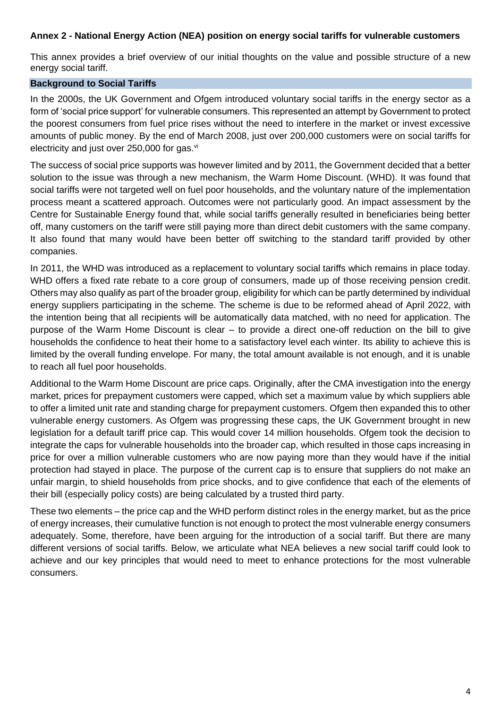### **Annex 2 - National Energy Action (NEA) position on energy social tariffs for vulnerable customers**

This annex provides a brief overview of our initial thoughts on the value and possible structure of a new energy social tariff.

### **Background to Social Tariffs**

In the 2000s, the UK Government and Ofgem introduced voluntary social tariffs in the energy sector as a form of 'social price support' for vulnerable consumers. This represented an attempt by Government to protect the poorest consumers from fuel price rises without the need to interfere in the market or invest excessive amounts of public money. By the end of March 2008, just over 200,000 customers were on social tariffs for electricity and just over  $250,000$  for gas. $\frac{v}{x}$ 

The success of social price supports was however limited and by 2011, the Government decided that a better solution to the issue was through a new mechanism, the Warm Home Discount. (WHD). It was found that social tariffs were not targeted well on fuel poor households, and the voluntary nature of the implementation process meant a scattered approach. Outcomes were not particularly good. An impact assessment by the Centre for Sustainable Energy found that, while social tariffs generally resulted in beneficiaries being better off, many customers on the tariff were still paying more than direct debit customers with the same company. It also found that many would have been better off switching to the standard tariff provided by other companies.

In 2011, the WHD was introduced as a replacement to voluntary social tariffs which remains in place today. WHD offers a fixed rate rebate to a core group of consumers, made up of those receiving pension credit. Others may also qualify as part of the broader group, eligibility for which can be partly determined by individual energy suppliers participating in the scheme. The scheme is due to be reformed ahead of April 2022, with the intention being that all recipients will be automatically data matched, with no need for application. The purpose of the Warm Home Discount is clear – to provide a direct one-off reduction on the bill to give households the confidence to heat their home to a satisfactory level each winter. Its ability to achieve this is limited by the overall funding envelope. For many, the total amount available is not enough, and it is unable to reach all fuel poor households.

Additional to the Warm Home Discount are price caps. Originally, after the CMA investigation into the energy market, prices for prepayment customers were capped, which set a maximum value by which suppliers able to offer a limited unit rate and standing charge for prepayment customers. Ofgem then expanded this to other vulnerable energy customers. As Ofgem was progressing these caps, the UK Government brought in new legislation for a default tariff price cap. This would cover 14 million households. Ofgem took the decision to integrate the caps for vulnerable households into the broader cap, which resulted in those caps increasing in price for over a million vulnerable customers who are now paying more than they would have if the initial protection had stayed in place. The purpose of the current cap is to ensure that suppliers do not make an unfair margin, to shield households from price shocks, and to give confidence that each of the elements of their bill (especially policy costs) are being calculated by a trusted third party.

These two elements – the price cap and the WHD perform distinct roles in the energy market, but as the price of energy increases, their cumulative function is not enough to protect the most vulnerable energy consumers adequately. Some, therefore, have been arguing for the introduction of a social tariff. But there are many different versions of social tariffs. Below, we articulate what NEA believes a new social tariff could look to achieve and our key principles that would need to meet to enhance protections for the most vulnerable consumers.